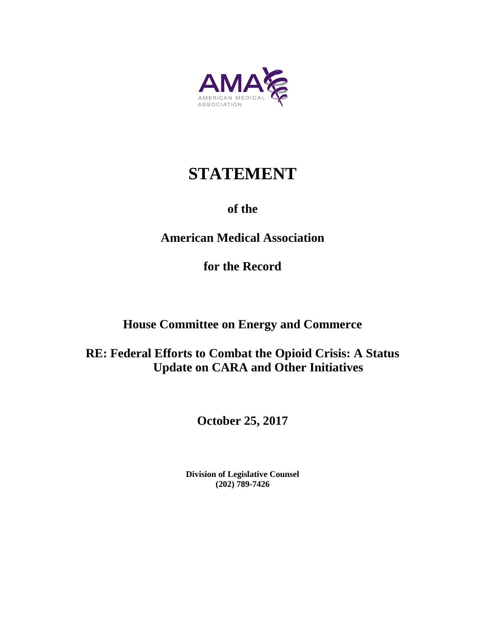

# **STATEMENT**

### **of the**

# **American Medical Association**

**for the Record**

# **House Committee on Energy and Commerce**

# **RE: Federal Efforts to Combat the Opioid Crisis: A Status Update on CARA and Other Initiatives**

**October 25, 2017**

**Division of Legislative Counsel (202) 789-7426**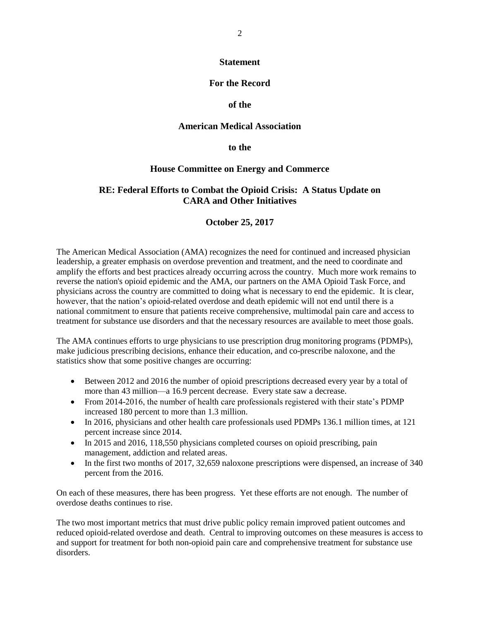#### **Statement**

### **For the Record**

### **of the**

#### **American Medical Association**

**to the**

#### **House Committee on Energy and Commerce**

### **RE: Federal Efforts to Combat the Opioid Crisis: A Status Update on CARA and Other Initiatives**

### **October 25, 2017**

The American Medical Association (AMA) recognizes the need for continued and increased physician leadership, a greater emphasis on overdose prevention and treatment, and the need to coordinate and amplify the efforts and best practices already occurring across the country. Much more work remains to reverse the nation's opioid epidemic and the AMA, our partners on the AMA Opioid Task Force, and physicians across the country are committed to doing what is necessary to end the epidemic. It is clear, however, that the nation's opioid-related overdose and death epidemic will not end until there is a national commitment to ensure that patients receive comprehensive, multimodal pain care and access to treatment for substance use disorders and that the necessary resources are available to meet those goals.

The AMA continues efforts to urge physicians to use prescription drug monitoring programs (PDMPs), make judicious prescribing decisions, enhance their education, and co-prescribe naloxone, and the statistics show that some positive changes are occurring:

- Between 2012 and 2016 the number of opioid prescriptions decreased every year by a total of more than 43 million—a 16.9 percent decrease. Every state saw a decrease.
- From 2014-2016, the number of health care professionals registered with their state's PDMP increased 180 percent to more than 1.3 million.
- In 2016, physicians and other health care professionals used PDMPs 136.1 million times, at 121 percent increase since 2014.
- In 2015 and 2016, 118,550 physicians completed courses on opioid prescribing, pain management, addiction and related areas.
- In the first two months of 2017, 32,659 naloxone prescriptions were dispensed, an increase of 340 percent from the 2016.

On each of these measures, there has been progress. Yet these efforts are not enough. The number of overdose deaths continues to rise.

The two most important metrics that must drive public policy remain improved patient outcomes and reduced opioid-related overdose and death. Central to improving outcomes on these measures is access to and support for treatment for both non-opioid pain care and comprehensive treatment for substance use disorders.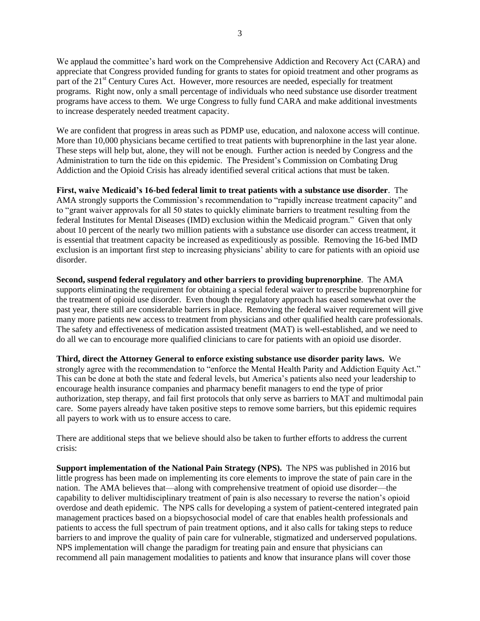We applaud the committee's hard work on the Comprehensive Addiction and Recovery Act (CARA) and appreciate that Congress provided funding for grants to states for opioid treatment and other programs as part of the 21<sup>st</sup> Century Cures Act. However, more resources are needed, especially for treatment programs. Right now, only a small percentage of individuals who need substance use disorder treatment programs have access to them. We urge Congress to fully fund CARA and make additional investments to increase desperately needed treatment capacity.

We are confident that progress in areas such as PDMP use, education, and naloxone access will continue. More than 10,000 physicians became certified to treat patients with buprenorphine in the last year alone. These steps will help but, alone, they will not be enough. Further action is needed by Congress and the Administration to turn the tide on this epidemic. The President's Commission on Combating Drug Addiction and the Opioid Crisis has already identified several critical actions that must be taken.

**First, waive Medicaid's 16-bed federal limit to treat patients with a substance use disorder**. The AMA strongly supports the Commission's recommendation to "rapidly increase treatment capacity" and to "grant waiver approvals for all 50 states to quickly eliminate barriers to treatment resulting from the federal Institutes for Mental Diseases (IMD) exclusion within the Medicaid program." Given that only about 10 percent of the nearly two million patients with a substance use disorder can access treatment, it is essential that treatment capacity be increased as expeditiously as possible. Removing the 16-bed IMD exclusion is an important first step to increasing physicians' ability to care for patients with an opioid use disorder.

**Second, suspend federal regulatory and other barriers to providing buprenorphine**. The AMA supports eliminating the requirement for obtaining a special federal waiver to prescribe buprenorphine for the treatment of opioid use disorder. Even though the regulatory approach has eased somewhat over the past year, there still are considerable barriers in place. Removing the federal waiver requirement will give many more patients new access to treatment from physicians and other qualified health care professionals. The safety and effectiveness of medication assisted treatment (MAT) is well-established, and we need to do all we can to encourage more qualified clinicians to care for patients with an opioid use disorder.

**Third, direct the Attorney General to enforce existing substance use disorder parity laws.** We strongly agree with the recommendation to "enforce the Mental Health Parity and Addiction Equity Act." This can be done at both the state and federal levels, but America's patients also need your leadership to encourage health insurance companies and pharmacy benefit managers to end the type of prior authorization, step therapy, and fail first protocols that only serve as barriers to MAT and multimodal pain care. Some payers already have taken positive steps to remove some barriers, but this epidemic requires all payers to work with us to ensure access to care.

There are additional steps that we believe should also be taken to further efforts to address the current crisis:

**Support implementation of the National Pain Strategy (NPS).** The NPS was published in 2016 but little progress has been made on implementing its core elements to improve the state of pain care in the nation. The AMA believes that—along with comprehensive treatment of opioid use disorder—the capability to deliver multidisciplinary treatment of pain is also necessary to reverse the nation's opioid overdose and death epidemic. The NPS calls for developing a system of patient-centered integrated pain management practices based on a biopsychosocial model of care that enables health professionals and patients to access the full spectrum of pain treatment options, and it also calls for taking steps to reduce barriers to and improve the quality of pain care for vulnerable, stigmatized and underserved populations. NPS implementation will change the paradigm for treating pain and ensure that physicians can recommend all pain management modalities to patients and know that insurance plans will cover those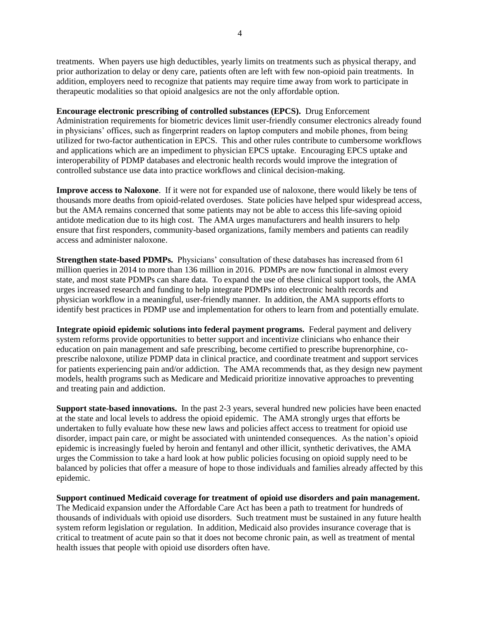treatments. When payers use high deductibles, yearly limits on treatments such as physical therapy, and prior authorization to delay or deny care, patients often are left with few non-opioid pain treatments. In addition, employers need to recognize that patients may require time away from work to participate in therapeutic modalities so that opioid analgesics are not the only affordable option.

**Encourage electronic prescribing of controlled substances (EPCS).** Drug Enforcement Administration requirements for biometric devices limit user-friendly consumer electronics already found in physicians' offices, such as fingerprint readers on laptop computers and mobile phones, from being utilized for two-factor authentication in EPCS. This and other rules contribute to cumbersome workflows and applications which are an impediment to physician EPCS uptake. Encouraging EPCS uptake and interoperability of PDMP databases and electronic health records would improve the integration of controlled substance use data into practice workflows and clinical decision-making.

**Improve access to Naloxone**. If it were not for expanded use of naloxone, there would likely be tens of thousands more deaths from opioid-related overdoses. State policies have helped spur widespread access, but the AMA remains concerned that some patients may not be able to access this life-saving opioid antidote medication due to its high cost. The AMA urges manufacturers and health insurers to help ensure that first responders, community-based organizations, family members and patients can readily access and administer naloxone.

**Strengthen state-based PDMPs.** Physicians' consultation of these databases has increased from 61 million queries in 2014 to more than 136 million in 2016. PDMPs are now functional in almost every state, and most state PDMPs can share data. To expand the use of these clinical support tools, the AMA urges increased research and funding to help integrate PDMPs into electronic health records and physician workflow in a meaningful, user-friendly manner. In addition, the AMA supports efforts to identify best practices in PDMP use and implementation for others to learn from and potentially emulate.

**Integrate opioid epidemic solutions into federal payment programs.** Federal payment and delivery system reforms provide opportunities to better support and incentivize clinicians who enhance their education on pain management and safe prescribing, become certified to prescribe buprenorphine, coprescribe naloxone, utilize PDMP data in clinical practice, and coordinate treatment and support services for patients experiencing pain and/or addiction. The AMA recommends that, as they design new payment models, health programs such as Medicare and Medicaid prioritize innovative approaches to preventing and treating pain and addiction.

**Support state-based innovations.** In the past 2-3 years, several hundred new policies have been enacted at the state and local levels to address the opioid epidemic. The AMA strongly urges that efforts be undertaken to fully evaluate how these new laws and policies affect access to treatment for opioid use disorder, impact pain care, or might be associated with unintended consequences. As the nation's opioid epidemic is increasingly fueled by heroin and fentanyl and other illicit, synthetic derivatives, the AMA urges the Commission to take a hard look at how public policies focusing on opioid supply need to be balanced by policies that offer a measure of hope to those individuals and families already affected by this epidemic.

**Support continued Medicaid coverage for treatment of opioid use disorders and pain management.** The Medicaid expansion under the Affordable Care Act has been a path to treatment for hundreds of thousands of individuals with opioid use disorders. Such treatment must be sustained in any future health

system reform legislation or regulation. In addition, Medicaid also provides insurance coverage that is critical to treatment of acute pain so that it does not become chronic pain, as well as treatment of mental health issues that people with opioid use disorders often have.